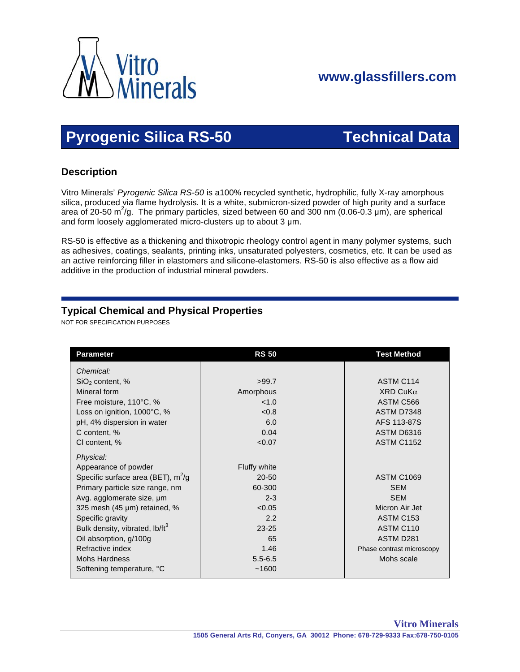

## **www.glassfillers.com**

# **Pyrogenic Silica RS-50 Technical Data**

### **Description**

 Vitro Minerals' *Pyrogenic Silica RS-50* is a100% recycled synthetic, hydrophilic, fully X-ray amorphous silica, produced via flame hydrolysis. It is a white, submicron-sized powder of high purity and a surface area of 20-50 m<sup>2</sup>/g. The primary particles, sized between 60 and 300 nm (0.06-0.3 µm), are spherical and form loosely agglomerated micro-clusters up to about 3  $\mu$ m.

 RS-50 is effective as a thickening and thixotropic rheology control agent in many polymer systems, such as adhesives, coatings, sealants, printing inks, unsaturated polyesters, cosmetics, etc. It can be used as an active reinforcing filler in elastomers and silicone-elastomers. RS-50 is also effective as a flow aid additive in the production of industrial mineral powders.

### **Typical Chemical and Physical Properties**

NOT FOR SPECIFICATION PURPOSES

| <b>Parameter</b>                           | <b>RS 50</b>        | <b>Test Method</b>        |
|--------------------------------------------|---------------------|---------------------------|
| Chemical:                                  |                     |                           |
| $SiO2$ content, %                          | >99.7               | ASTM C <sub>114</sub>     |
| Mineral form                               | Amorphous           | XRD CuK $\alpha$          |
| Free moisture, 110°C, %                    | <1.0                | ASTM C566                 |
| Loss on ignition, 1000°C, %                | <0.8                | ASTM D7348                |
| pH, 4% dispersion in water                 | 6.0                 | AFS 113-87S               |
| C content, %                               | 0.04                | ASTM D6316                |
| CI content, %                              | < 0.07              | <b>ASTM C1152</b>         |
| Physical:                                  |                     |                           |
| Appearance of powder                       | <b>Fluffy white</b> |                           |
| Specific surface area (BET), $m^2/g$       | $20 - 50$           | <b>ASTM C1069</b>         |
| Primary particle size range, nm            | 60-300              | <b>SEM</b>                |
| Avg. agglomerate size, um                  | $2 - 3$             | <b>SEM</b>                |
| 325 mesh (45 µm) retained, %               | < 0.05              | Micron Air Jet            |
| Specific gravity                           | 2.2                 | ASTM C <sub>153</sub>     |
| Bulk density, vibrated, lb/ft <sup>3</sup> | $23 - 25$           | ASTM C110                 |
| Oil absorption, g/100g                     | 65                  | ASTM D281                 |
| Refractive index                           | 1.46                | Phase contrast microscopy |
| <b>Mohs Hardness</b>                       | $5.5 - 6.5$         | Mohs scale                |
| Softening temperature, °C                  | ~1600               |                           |